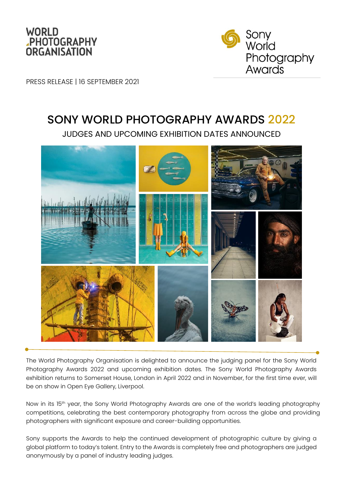



PRESS RELEASE | 16 SEPTEMBER 2021

# SONY WORLD PHOTOGRAPHY AWARDS 2022

JUDGES AND UPCOMING EXHIBITION DATES ANNOUNCED



The World Photography Organisation is delighted to announce the judging panel for the Sony World Photography Awards 2022 and upcoming exhibition dates. The Sony World Photography Awards exhibition returns to Somerset House, London in April 2022 and in November, for the first time ever, will be on show in Open Eye Gallery, Liverpool.

Now in its 15<sup>th</sup> year, the Sony World Photography Awards are one of the world's leading photography competitions, celebrating the best contemporary photography from across the globe and providing photographers with significant exposure and career-building opportunities.

Sony supports the Awards to help the continued development of photographic culture by giving a global platform to today's talent. Entry to the Awards is completely free and photographers are judged anonymously by a panel of industry leading judges.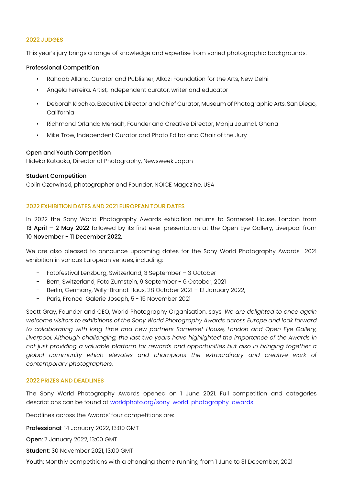## 2022 JUDGES

This year's jury brings a range of knowledge and expertise from varied photographic backgrounds.

## Professional Competition

- Rahaab Allana, Curator and Publisher, Alkazi Foundation for the Arts, New Delhi
- Ângela Ferreira, Artist, Independent curator, writer and educator
- **•** Deborah Klochko, Executive Director and Chief Curator, Museum of Photographic Arts, San Diego, California
- Richmond Orlando Mensah, Founder and Creative Director, Manju Journal, Ghana
- Mike Trow, Independent Curator and Photo Editor and Chair of the Jury

## Open and Youth Competition

Hideko Kataoka, Director of Photography, Newsweek Japan

## Student Competition

Colin Czerwinski, photographer and Founder, NOICE Magazine, USA

## 2022 EXHIBITION DATES AND 2021 EUROPEAN TOUR DATES

In 2022 the Sony World Photography Awards exhibition returns to Somerset House, London from 13 April – 2 May 2022 followed by its first ever presentation at the Open Eye Gallery, Liverpool from 10 November - 11 December 2022.

We are also pleased to announce upcoming dates for the Sony World Photography Awards 2021 exhibition in various European venues, including:

- Fotofestival Lenzburg, Switzerland, 3 September 3 October
- Bern, Switzerland, Foto Zumstein, 9 September 6 October, 2021
- Berlin, Germany, Willy-Brandt Haus, 28 October 2021 12 January 2022,
- Paris, France Galerie Joseph, 5 15 November 2021

Scott Gray, Founder and CEO, World Photography Organisation, says: *We are delighted to once again welcome visitors to exhibitions of the Sony World Photography Awards across Europe and look forward to collaborating with long-time and new partners Somerset House, London and Open Eye Gallery, Liverpool. Although challenging, the last two years have highlighted the importance of the Awards in not just providing a valuable platform for rewards and opportunities but also in bringing together a global community which elevates and champions the extraordinary and creative work of contemporary photographers.* 

## 2022 PRIZES AND DEADLINES

The Sony World Photography Awards opened on 1 June 2021. Full competition and categories descriptions can be found at worldphoto.org/sony-world-photography-awards

Deadlines across the Awards' four competitions are:

Professional: 14 January 2022, 13:00 GMT

Open: 7 January 2022, 13:00 GMT

Student: 30 November 2021, 13:00 GMT

Youth: Monthly competitions with a changing theme running from 1 June to 31 December, 2021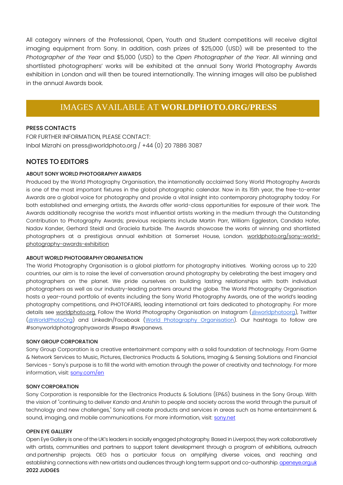All category winners of the Professional, Open, Youth and Student competitions will receive digital imaging equipment from Sony. In addition, cash prizes of \$25,000 (USD) will be presented to the *Photographer of the Year* and \$5,000 (USD) to the *Open Photographer of the Year*. All winning and shortlisted photographers' works will be exhibited at the annual Sony World Photography Awards exhibition in London and will then be toured internationally. The winning images will also be published in the annual Awards book.

## IMAGES AVAILABLE AT **WORLDPHOTO.ORG/PRESS**

## PRESS CONTACTS

FOR FURTHER INFORMATION, PLEASE CONTACT: Inbal Mizrahi on press@worldphoto.org / +44 (0) 20 7886 3087

## NOTES TO EDITORS

## ABOUT SONY WORLD PHOTOGRAPHY AWARDS

Produced by the World Photography Organisation, the internationally acclaimed Sony World Photography Awards is one of the most important fixtures in the global photographic calendar. Now in its 15th year, the free-to-enter Awards are a global voice for photography and provide a vital insight into contemporary photography today. For both established and emerging artists, the Awards offer world-class opportunities for exposure of their work. The Awards additionally recognise the world's most influential artists working in the medium through the Outstanding Contribution to Photography Awards; previous recipients include Martin Parr, William Eggleston, Candida Hofer, Nadav Kander, Gerhard Steidl and Graciela Iturbide. The Awards showcase the works of winning and shortlisted photographers at a prestigious annual exhibition at Somerset House, London. [worldphoto.org/sony-world](https://www.worldphoto.org/sony-world-photography-awards-exhibition)[photography-awards-exhibition](https://www.worldphoto.org/sony-world-photography-awards-exhibition)

## ABOUT WORLD PHOTOGRAPHY ORGANISATION

The World Photography Organisation is a global platform for photography initiatives. Working across up to 220 countries, our aim is to raise the level of conversation around photography by celebrating the best imagery and photographers on the planet. We pride ourselves on building lasting relationships with both individual photographers as well as our industry-leading partners around the globe. The World Photography Organisation hosts a year-round portfolio of events including the Sony World Photography Awards, one of the world's leading photography competitions, and PHOTOFAIRS, leading international art fairs dedicated to photography. For more details see worldphoto.org. Follow the World Photography Organisation on Instagram [\(@worldphotoorg\)](https://www.google.com/url?q=https://www.instagram.com/worldphotoorg/&sa=D&source=editors&ust=1630497254309000&usg=AOvVaw3aIMJVWdcCRTiG6v-4FO2_), Twitter [\(@WorldPhotoOrg\)](https://www.google.com/url?q=https://twitter.com/WorldPhotoOrg&sa=D&source=editors&ust=1630497254309000&usg=AOvVaw2upJo-rDJ9QX470l3E1Zw1) and LinkedIn/Facebook [\(World Photography Organisation\)](https://www.google.com/url?q=https://www.facebook.com/WorldPhotographyOrganisation/&sa=D&source=editors&ust=1630497254309000&usg=AOvVaw3Bp4W_OEpvfEta2lSTUvDo). Our hashtags to follow are #sonyworldphotographyawards #swpa #swpanews.

## SONY GROUP CORPORATION

Sony Group Corporation is a creative entertainment company with a solid foundation of technology. From Game & Network Services to Music, Pictures, Electronics Products & Solutions, Imaging & Sensing Solutions and Financial Services - Sony's purpose is to fill the world with emotion through the power of creativity and technology. For more information, visit: [sony.com/en](http://www.sony.com/en/)

#### SONY CORPORATION

Sony Corporation is responsible for the Electronics Products & Solutions (EP&S) business in the Sony Group. With the vision of "continuing to deliver *Kando* and *Anshin* to people and society across the world through the pursuit of technology and new challenges," Sony will create products and services in areas such as home entertainment & sound, imaging, and mobile communications. For more information, visit: [sony.net](http://www.sony.net/)

## OPEN EYE GALLERY

Open Eye Gallery is one of the UK's leaders in socially engaged photography. Based in Liverpool, they work collaboratively with artists, communities and partners to support talent development through a program of exhibitions, outreach and partnership projects. OEG has a particular focus on amplifying diverse voices, and reaching and establishing connections with new artists and audiences through long term support and co-authorship[. openeye.org.uk](https://openeye.org.uk/about/) 2022 JUDGES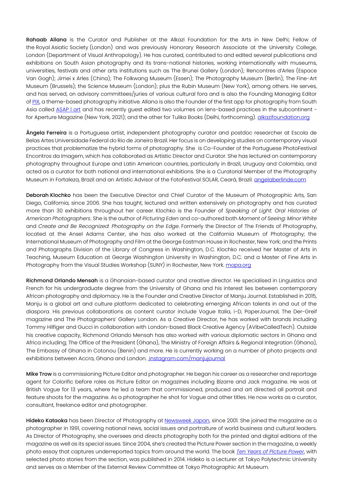Rahaab Allana is the Curator and Publisher at the Alkazi Foundation for the Arts in New Delhi; Fellow of the Royal Asiatic Society (London) and was previously Honorary Research Associate at the University College, London (Department of Visual Anthropology). He has curated, contributed to and edited several publications and exhibitions on South Asian photography and its trans-national histories, working internationally with museums, universities, festivals and other arts institutions such as The Brunei Gallery (London); Rencontres d'Arles (Espace Van Gogh); Jimei x Arles (China); The Folkwang Museum (Essen); The Photography Museum (Berlin); The Fine-Art Museum (Brussels); the Science Museum (London); plus the Rubin Museum (New York), among others. He serves, and has served, on advisory committees/juries of various cultural fora and is also the Founding Managing Editor o[f PIX,](http://enterpix.in/) a theme-based photography initiative. Allana is also the Founder of the first app for photography from South Asia called **ASAP I art** and has recently guest edited two volumes on lens-based practices in the subcontinent for Aperture Magazine (New York, 2021); and the other for Tulika Books (Delhi, forthcoming). **alkazifoundation.org** 

Ângela Ferreira is a Portuguese artist, independent photography curator and postdoc researcher at Escola de Belas Artes Universidade Federal do Rio de Janeiro Brazil. Her focus is on developing studies on contemporary visual practices that problematize the hybrid forms of photography. She is Co-Founder of the Portuguese PhotoFestival Encontros da Imagem, which has collaborated as Artistic Director and Curator. She has lectured on contemporary photography throughout Europe and Latin American countries, particularly in Brazil, Uruguay and Colombia, and acted as a curator for both national and international exhibitions. She is a Curatorial Member of the Photography Museum in Fortaleza, Brazil and an Artistic Advisor of the FotoFestival SOLAR, Ceará, Brazil. **angelaberlinde.com** 

Deborah Klochko has been the Executive Director and Chief Curator of the Museum of Photographic Arts, San Diego, California, since 2006. She has taught, lectured and written extensively on photography and has curated more than 30 exhibitions throughout her career. Klochko is the Founder of *Speaking of Light: Oral Histories of American Photographers*. She is the author of *Picturing Eden* and co-authored both *Moment of Seeing: Minor White* and *Create and Be Recognized: Photography on the Edge*. Formerly the Director of The Friends of Photography, located at the Ansel Adams Center, she has also worked at the California Museum of Photography; the International Museum of Photography and Film at the George Eastman House in Rochester, New York; and the Prints and Photographs Division of the Library of Congress in Washington, D.C. Klochko received her Master of Arts in Teaching, Museum Education at George Washington University in Washington, D.C. and a Master of Fine Arts in Photography from the Visual Studies Workshop (SUNY) in Rochester, New York[. mopa.org](https://mopa.org/)

Richmond Orlando Mensah is a Ghanaian-based curator and creative director. He specialised in Linguistics and French for his undergraduate degree from the University of Ghana and his interest lies between contemporary African photography and diplomacy. He is the Founder and Creative Director of Manju Journal. Established in 2015, Manju is a global art and culture platform dedicated to celebrating emerging African talents in and out of the diaspora. His previous collaborations as content curator include Vogue Italia, i-D, PaperJournal, The Der-Greif magazine and The Photographers' Gallery London. As a Creative Director, he has worked with brands including Tommy Hilfiger and Gucci in collaboration with London-based Black Creative Agency (AVibeCalledTech). Outside his creative capacity, Richmond Orlando Mensah has also worked with various diplomatic sectors in Ghana and Africa including; The Office of the President (Ghana), The Ministry of Foreign Affairs & Regional Integration (Ghana), The Embassy of Ghana in Cotonou (Benin) and more. He is currently working on a number of photo projects and exhibitions between Accra, Ghana and London. instagram.com/manjujournal

Mike Trow is a commissioning Picture Editor and photographer. He began his career as a researcher and reportage agent for Colorific before roles as Picture Editor on magazines including Bizarre and Jack magazine. He was at British Vogue for 13 years, where he led a team that commissioned, produced and art directed all portrait and feature shoots for the magazine. As a photographer he shot for Vogue and other titles. He now works as a curator, consultant, freelance editor and photographer.

Hideko Kataoka has been Director of Photography at [Newsweek Japan,](https://www.newsweekjapan.jp/) since 2001. She joined the magazine as a photographer in 1991, covering national news, social issues and portraiture of world business and cultural leaders. As Director of Photography, she oversees and directs photography both for the printed and digital editions of the magazine as well as its special issues. Since 2004, she's created the Picture Power section in the magazine, a weekly photo essay that captures underreported topics from around the world. The book *[Ten Years of Picture Power](https://www.newsweekjapan.jp/book/)*, with selected photo stories from the section, was published in 2014. Hideko is a Lecturer at Tokyo Polytechnic University and serves as a Member of the External Review Committee at Tokyo Photographic Art Museum.